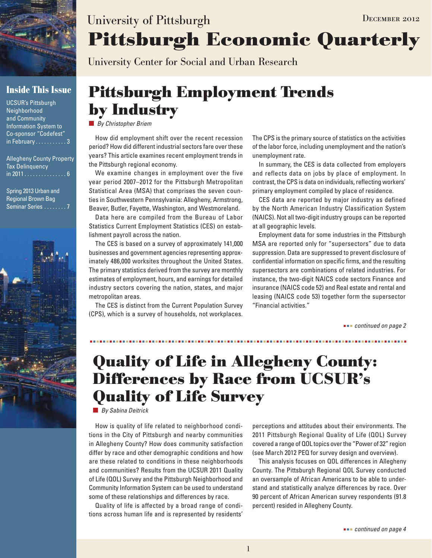

### **Inside This Issue**

UCSUR's Pittsburgh Neighborhood and Community Information System to Co-sponsor "Codefest" in February . . . . . . . . . . . 3

Allegheny County Property Tax Delinquency in 2011 . . . . . . . . . . . . . . . 6

Spring 2013 Urban and Regional Brown Bag Seminar Series . . . . . . . . 7



# **Pittsburgh Economic Quarterly** University of Pittsburgh DECEMBER 2012

University Center for Social and Urban Research

## **Pittsburgh Employment Trends by Industry**

*By Christopher Briem*

How did employment shift over the recent recession period? How did different industrial sectors fare over these years? This article examines recent employment trends in the Pittsburgh regional economy.

We examine changes in employment over the five year period 2007–2012 for the Pittsburgh Metropolitan Statistical Area (MSA) that comprises the seven counties in Southwestern Pennsylvania: Allegheny, Armstrong, Beaver, Butler, Fayette, Washington, and Westmoreland.

Data here are compiled from the Bureau of Labor Statistics Current Employment Statistics (CES) on establishment payroll across the nation.

The CES is based on a survey of approximately 141,000 businesses and government agencies representing approximately 486,000 worksites throughout the United States. The primary statistics derived from the survey are monthly estimates of employment, hours, and earnings for detailed industry sectors covering the nation, states, and major metropolitan areas.

The CES is distinct from the Current Population Survey (CPS), which is a survey of households, not workplaces.

The CPS is the primary source of statistics on the activities of the labor force, including unemployment and the nation's unemployment rate.

In summary, the CES is data collected from employers and reflects data on jobs by place of employment. In contrast, the CPS is data on individuals, reflecting workers' primary employment compiled by place of residence.

CES data are reported by major industry as defined by the North American Industry Classification System (NAICS). Not all two-digit industry groups can be reported at all geographic levels.

Employment data for some industries in the Pittsburgh MSA are reported only for "supersectors" due to data suppression. Data are suppressed to prevent disclosure of confidential information on specific firms, and the resulting supersectors are combinations of related industries. For instance, the two-digit NAICS code sectors Finance and insurance (NAICS code 52) and Real estate and rental and leasing (NAICS code 53) together form the supersector "Financial activities."

 *continued on page 2*

# **Quality of Life in Allegheny County: Differences by Race from UCSUR's Quality of Life Survey**

*By Sabina Deitrick*

How is quality of life related to neighborhood conditions in the City of Pittsburgh and nearby communities in Allegheny County? How does community satisfaction differ by race and other demographic conditions and how are these related to conditions in these neighborhoods and communities? Results from the UCSUR 2011 Quality of Life (QOL) Survey and the Pittsburgh Neighborhood and Community Information System can be used to understand some of these relationships and differences by race.

Quality of life is affected by a broad range of conditions across human life and is represented by residents' perceptions and attitudes about their environments. The 2011 Pittsburgh Regional Quality of Life (QOL) Survey covered a range of QOL topics over the "Power of 32" region (see March 2012 PEQ for survey design and overview).

This analysis focuses on QOL differences in Allegheny County. The Pittsburgh Regional QOL Survey conducted an oversample of African Americans to be able to understand and statistically analyze differences by race. Over 90 percent of African American survey respondents (91.8 percent) resided in Allegheny County.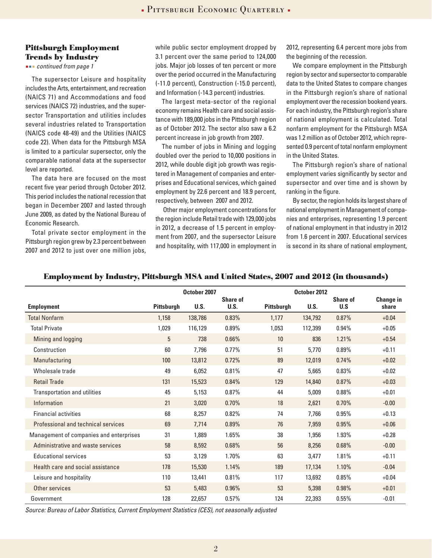### **Pittsburgh Employment Trends by Industry**

 *continued from page 1*

The supersector Leisure and hospitality includes the Arts, entertainment, and recreation (NAICS 71) and Accommodations and food services (NAICS 72) industries, and the supersector Transportation and utilities includes several industries related to Transportation (NAICS code 48-49) and the Utilities (NAICS code 22). When data for the Pittsburgh MSA is limited to a particular supersector, only the comparable national data at the supersector level are reported.

The data here are focused on the most recent five year period through October 2012. This period includes the national recession that began in December 2007 and lasted through June 2009, as dated by the National Bureau of Economic Research.

Total private sector employment in the Pittsburgh region grew by 2.3 percent between 2007 and 2012 to just over one million jobs, while public sector employment dropped by 3.1 percent over the same period to 124,000 jobs. Major job losses of ten percent or more over the period occurred in the Manufacturing (-11.0 percent), Construction (-15.0 percent), and Information (-14.3 percent) industries.

The largest meta-sector of the regional economy remains Health care and social assistance with 189,000 jobs in the Pittsburgh region as of October 2012. The sector also saw a 6.2 percent increase in job growth from 2007.

The number of jobs in Mining and logging doubled over the period to 10,000 positions in 2012, while double digit job growth was registered in Management of companies and enterprises and Educational services, which gained employment by 22.6 percent and 18.9 percent, respectively, between 2007 and 2012.

 Other major employment concentrations for the region include Retail trade with 129,000 jobs in 2012, a decrease of 1.5 percent in employment from 2007, and the supersector Leisure and hospitality, with 117,000 in employment in

2012, representing 6.4 percent more jobs from the beginning of the recession.

We compare employment in the Pittsburgh region by sector and supersector to comparable data to the United States to compare changes in the Pittsburgh region's share of national employment over the recession bookend years. For each industry, the Pittsburgh region's share of national employment is calculated. Total nonfarm employment for the Pittsburgh MSA was 1.2 million as of October 2012, which represented 0.9 percent of total nonfarm employment in the United States.

The Pittsburgh region's share of national employment varies significantly by sector and supersector and over time and is shown by ranking in the figure.

By sector, the region holds its largest share of national employment in Management of companies and enterprises, representing 1.9 percent of national employment in that industry in 2012 from 1.6 percent in 2007. Educational services is second in its share of national employment,

#### **Employment by Industry, Pittsburgh MSA and United States, 2007 and 2012 (in thousands)**

|                                         | October 2007      |             |                         | October 2012      |             |                        |                           |
|-----------------------------------------|-------------------|-------------|-------------------------|-------------------|-------------|------------------------|---------------------------|
| <b>Employment</b>                       | <b>Pittsburgh</b> | <b>U.S.</b> | <b>Share of</b><br>U.S. | <b>Pittsburgh</b> | <b>U.S.</b> | <b>Share of</b><br>U.S | <b>Change in</b><br>share |
| <b>Total Nonfarm</b>                    | 1,158             | 138,786     | 0.83%                   | 1,177             | 134,792     | 0.87%                  | $+0.04$                   |
| <b>Total Private</b>                    | 1,029             | 116,129     | 0.89%                   | 1,053             | 112,399     | 0.94%                  | $+0.05$                   |
| Mining and logging                      | $\overline{5}$    | 738         | $0.66\%$                | 10                | 836         | 1.21%                  | $+0.54$                   |
| Construction                            | 60                | 7,796       | 0.77%                   | 51                | 5,770       | 0.89%                  | $+0.11$                   |
| Manufacturing                           | 100               | 13,812      | 0.72%                   | 89                | 12,019      | 0.74%                  | $+0.02$                   |
| Wholesale trade                         | 49                | 6,052       | 0.81%                   | 47                | 5,665       | 0.83%                  | $+0.02$                   |
| <b>Retail Trade</b>                     | 131               | 15,523      | 0.84%                   | 129               | 14,840      | 0.87%                  | $+0.03$                   |
| Transportation and utilities            | 45                | 5,153       | 0.87%                   | 44                | 5,009       | 0.88%                  | $+0.01$                   |
| Information                             | 21                | 3,020       | 0.70%                   | 18                | 2,621       | 0.70%                  | $-0.00$                   |
| <b>Financial activities</b>             | 68                | 8,257       | 0.82%                   | 74                | 7,766       | 0.95%                  | $+0.13$                   |
| Professional and technical services     | 69                | 7,714       | 0.89%                   | 76                | 7,959       | 0.95%                  | $+0.06$                   |
| Management of companies and enterprises | 31                | 1,889       | 1.65%                   | 38                | 1,956       | 1.93%                  | $+0.28$                   |
| Administrative and waste services       | 58                | 8,592       | 0.68%                   | 56                | 8,256       | 0.68%                  | $-0.00$                   |
| <b>Educational services</b>             | 53                | 3,129       | 1.70%                   | 63                | 3,477       | 1.81%                  | $+0.11$                   |
| Health care and social assistance       | 178               | 15,530      | 1.14%                   | 189               | 17,134      | 1.10%                  | $-0.04$                   |
| Leisure and hospitality                 | 110               | 13,441      | 0.81%                   | 117               | 13,692      | 0.85%                  | $+0.04$                   |
| Other services                          | 53                | 5,483       | 0.96%                   | 53                | 5,398       | 0.98%                  | $+0.01$                   |
| Government                              | 128               | 22,657      | 0.57%                   | 124               | 22,393      | 0.55%                  | $-0.01$                   |

*Source: Bureau of Labor Statistics, Current Employment Statistics (CES), not seasonally adjusted*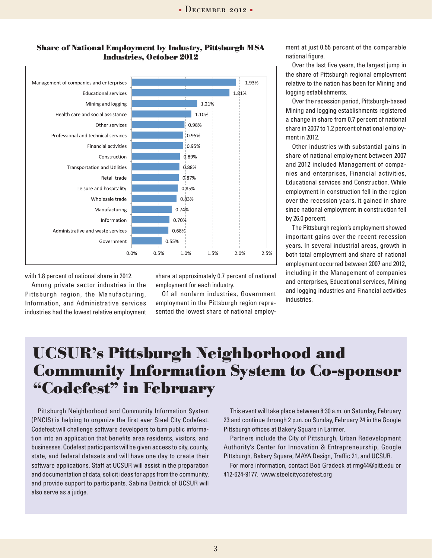

### **Share of National Employment by Industry, Pittsburgh MSA Industries, October 2012**

with 1.8 percent of national share in 2012.

Among private sector industries in the Pittsburgh region, the Manufacturing, Information, and Administrative services industries had the lowest relative employment share at approximately 0.7 percent of national employment for each industry.

Of all nonfarm industries, Government employment in the Pittsburgh region represented the lowest share of national employ-

ment at just 0.55 percent of the comparable national figure.

Over the last five years, the largest jump in the share of Pittsburgh regional employment relative to the nation has been for Mining and logging establishments.

Over the recession period, Pittsburgh-based Mining and logging establishments registered a change in share from 0.7 percent of national share in 2007 to 1.2 percent of national employment in 2012.

Other industries with substantial gains in share of national employment between 2007 and 2012 included Management of companies and enterprises, Financial activities, Educational services and Construction. While employment in construction fell in the region over the recession years, it gained in share since national employment in construction fell by 26.0 percent.

The Pittsburgh region's employment showed important gains over the recent recession years. In several industrial areas, growth in both total employment and share of national employment occurred between 2007 and 2012, including in the Management of companies and enterprises, Educational services, Mining and logging industries and Financial activities industries.

## **UCSUR's Pittsburgh Neighborhood and Community Information System to Co-sponsor "Codefest" in February**

Pittsburgh Neighborhood and Community Information System (PNCIS) is helping to organize the first ever Steel City Codefest. Codefest will challenge software developers to turn public information into an application that benefits area residents, visitors, and businesses. Codefest participants will be given access to city, county, state, and federal datasets and will have one day to create their software applications. Staff at UCSUR will assist in the preparation and documentation of data, solicit ideas for apps from the community, and provide support to participants. Sabina Deitrick of UCSUR will also serve as a judge.

This event will take place between 8:30 a.m. on Saturday, February 23 and continue through 2 p.m. on Sunday, February 24 in the Google Pittsburgh offices at Bakery Square in Larimer.

Partners include the City of Pittsburgh, Urban Redevelopment Authority's Center for Innovation & Entrepreneurship, Google Pittsburgh, Bakery Square, MAYA Design, Traffic 21, and UCSUR.

For more information, contact Bob Gradeck at rmg44@pitt.edu or 412-624-9177. www.steelcitycodefest.org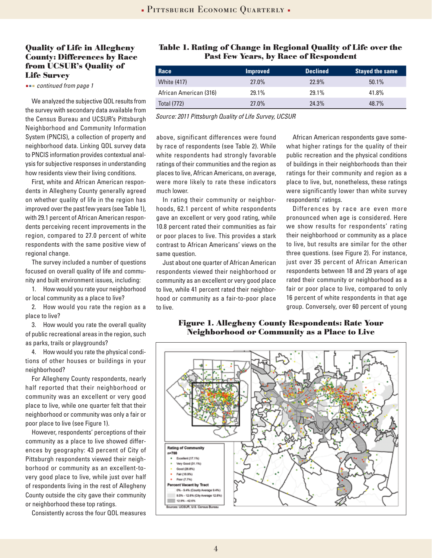### **Quality of Life in Allegheny County: Differences by Race from UCSUR's Quality of Life Survey**

 *continued from page 1*

We analyzed the subjective QOL results from the survey with secondary data available from the Census Bureau and UCSUR's Pittsburgh Neighborhood and Community Information System (PNCIS), a collection of property and neighborhood data. Linking QOL survey data to PNCIS information provides contextual analysis for subjective responses in understanding how residents view their living conditions.

First, white and African American respondents in Allegheny County generally agreed on whether quality of life in the region has improved over the past few years (see Table 1), with 29.1 percent of African American respondents perceiving recent improvements in the region, compared to 27.0 percent of white respondents with the same positive view of regional change.

The survey included a number of questions focused on overall quality of life and community and built environment issues, including:

1. How would you rate your neighborhood or local community as a place to live?

2. How would you rate the region as a place to live?

3. How would you rate the overall quality of public recreational areas in the region, such as parks, trails or playgrounds?

4. How would you rate the physical conditions of other houses or buildings in your neighborhood?

For Allegheny County respondents, nearly half reported that their neighborhood or community was an excellent or very good place to live, while one quarter felt that their neighborhood or community was only a fair or poor place to live (see Figure 1).

However, respondents' perceptions of their community as a place to live showed differences by geography: 43 percent of City of Pittsburgh respondents viewed their neighborhood or community as an excellent-tovery good place to live, while just over half of respondents living in the rest of Allegheny County outside the city gave their community or neighborhood these top ratings.

Consistently across the four QOL measures

### **Table 1. Rating of Change in Regional Quality of Life over the Past Few Years, by Race of Respondent**

| Race                   | <b>Improved</b> | <b>Declined</b> | <b>Stayed the same</b> |
|------------------------|-----------------|-----------------|------------------------|
| <b>White (417)</b>     | 27.0%           | 22.9%           | 50.1%                  |
| African American (316) | 29.1%           | 29.1%           | 41.8%                  |
| <b>Total (772)</b>     | 27.0%           | 24.3%           | 48.7%                  |

*Source: 2011 Pittsburgh Quality of Life Survey, UCSUR*

above, significant differences were found by race of respondents (see Table 2). While white respondents had strongly favorable ratings of their communities and the region as places to live, African Americans, on average, were more likely to rate these indicators much lower.

In rating their community or neighborhoods, 62.1 percent of white respondents gave an excellent or very good rating, while 10.8 percent rated their communities as fair or poor places to live. This provides a stark contrast to African Americans' views on the same question.

Just about one quarter of African American respondents viewed their neighborhood or community as an excellent or very good place to live, while 41 percent rated their neighborhood or community as a fair-to-poor place to live.

African American respondents gave somewhat higher ratings for the quality of their public recreation and the physical conditions of buildings in their neighborhoods than their ratings for their community and region as a place to live, but, nonetheless, these ratings were significantly lower than white survey respondents' ratings.

Differences by race are even more pronounced when age is considered. Here we show results for respondents' rating their neighborhood or community as a place to live, but results are similar for the other three questions. (see Figure 2). For instance, just over 35 percent of African American respondents between 18 and 29 years of age rated their community or neighborhood as a fair or poor place to live, compared to only 16 percent of white respondents in that age group. Conversely, over 60 percent of young

#### **Figure 1. Allegheny County Respondents: Rate Your Neighborhood or Community as a Place to Live**

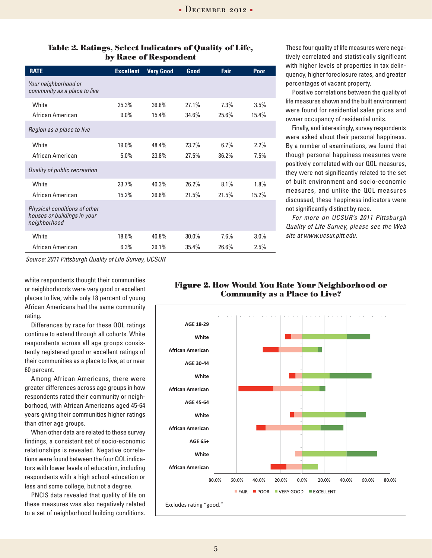| <b>RATE</b>                                                                 | <b>Excellent</b> | <b>Very Good</b> | Good           | <b>Fair</b>   | Poor          |
|-----------------------------------------------------------------------------|------------------|------------------|----------------|---------------|---------------|
| Your neighborhood or<br>community as a place to live                        |                  |                  |                |               |               |
| White<br>African American                                                   | 25.3%<br>$9.0\%$ | 36.8%<br>15.4%   | 27.1%<br>34.6% | 7.3%<br>25.6% | 3.5%<br>15.4% |
| Region as a place to live                                                   |                  |                  |                |               |               |
| <b>White</b>                                                                | 19.0%            | 48.4%            | 23.7%          | 6.7%          | $2.2\%$       |
| African American                                                            | 5.0%             | 23.8%            | 27.5%          | 36.2%         | 7.5%          |
| Quality of public recreation                                                |                  |                  |                |               |               |
| White                                                                       | 23.7%            | 40.3%            | 26.2%          | 8.1%          | 1.8%          |
| African American                                                            | 15.2%            | 26.6%            | 21.5%          | 21.5%         | 15.2%         |
| Physical conditions of other<br>houses or buildings in your<br>neighborhood |                  |                  |                |               |               |
| White                                                                       | 18.6%            | 40.8%            | $30.0\%$       | 7.6%          | $3.0\%$       |
| African American                                                            | 6.3%             | 29.1%            | 35.4%          | 26.6%         | 2.5%          |

### **Table 2. Ratings, Select Indicators of Quality of Life, by Race of Respondent**

*Source: 2011 Pittsburgh Quality of Life Survey, UCSUR*

white respondents thought their communities or neighborhoods were very good or excellent places to live, while only 18 percent of young African Americans had the same community rating.

Differences by race for these QOL ratings continue to extend through all cohorts. White respondents across all age groups consistently registered good or excellent ratings of their communities as a place to live, at or near 60 percent.

Among African Americans, there were greater differences across age groups in how respondents rated their community or neighborhood, with African Americans aged 45-64 years giving their communities higher ratings than other age groups.

When other data are related to these survey findings, a consistent set of socio-economic relationships is revealed. Negative correlations were found between the four QOL indicators with lower levels of education, including respondents with a high school education or less and some college, but not a degree.

PNCIS data revealed that quality of life on these measures was also negatively related to a set of neighborhood building conditions. These four quality of life measures were negatively correlated and statistically significant with higher levels of properties in tax delinquency, higher foreclosure rates, and greater percentages of vacant property.

Positive correlations between the quality of life measures shown and the built environment were found for residential sales prices and owner occupancy of residential units.

Finally, and interestingly, survey respondents were asked about their personal happiness. By a number of examinations, we found that though personal happiness measures were positively correlated with our QOL measures, they were not significantly related to the set of built environment and socio-economic measures, and unlike the QOL measures discussed, these happiness indicators were not significantly distinct by race.

*For more on UCSUR's 2011 Pittsburgh Quality of Life Survey, please see the Web site at www.ucsur.pitt.edu.*



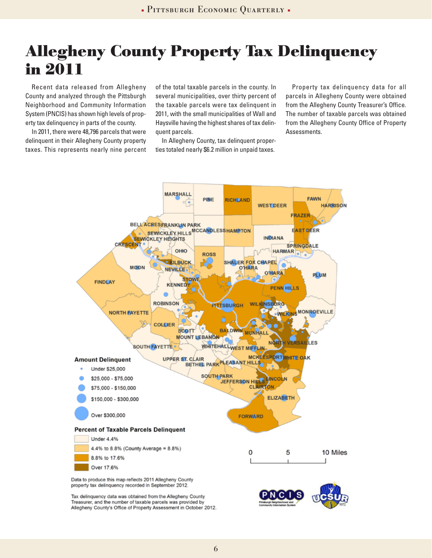## **Allegheny County Property Tax Delinquency in 2011**

Recent data released from Allegheny County and analyzed through the Pittsburgh Neighborhood and Community Information System (PNCIS) has shown high levels of property tax delinquency in parts of the county.

In 2011, there were 48,796 parcels that were delinquent in their Allegheny County property taxes. This represents nearly nine percent of the total taxable parcels in the county. In several municipalities, over thirty percent of the taxable parcels were tax delinquent in 2011, with the small municipalities of Wall and Haysville having the highest shares of tax delinquent parcels.

In Allegheny County, tax delinquent properties totaled nearly \$6.2 million in unpaid taxes.

Property tax delinquency data for all parcels in Allegheny County were obtained from the Allegheny County Treasurer's Office. The number of taxable parcels was obtained from the Allegheny County Office of Property Assessments.



Treasurer, and the number of taxable parcels was provided by Allegheny County's Office of Property Assessment in October 2012.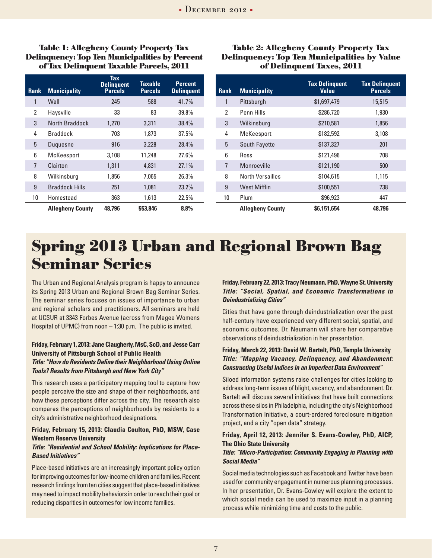**Table 1: Allegheny County Property Tax Delinquency: Top Ten Municipalities by Percent of Tax Delinquent Taxable Parcels, 2011** 

| Rank           | <b>Municipality</b>     | <b>Tax</b><br><b>Delinguent</b><br><b>Parcels</b> | Taxable<br><b>Parcels</b> | <b>Percent</b><br><b>Delinguent</b> |
|----------------|-------------------------|---------------------------------------------------|---------------------------|-------------------------------------|
| 1              | Wall                    | 245                                               | 588                       | 41.7%                               |
| 2              | Haysville               | 33                                                | 83                        | 39.8%                               |
| 3              | North Braddock          | 1,270                                             | 3,311                     | 38.4%                               |
| 4              | <b>Braddock</b>         | 703                                               | 1.873                     | 37.5%                               |
| 5              | Duguesne                | 916                                               | 3,228                     | 28.4%                               |
| 6              | McKeesport              | 3,108                                             | 11,248                    | 27.6%                               |
| $\overline{7}$ | Clairton                | 1,311                                             | 4,831                     | 27.1%                               |
| 8              | Wilkinsburg             | 1,856                                             | 7,065                     | 26.3%                               |
| 9              | <b>Braddock Hills</b>   | 251                                               | 1.081                     | $23.2\%$                            |
| 10             | Homestead               | 363                                               | 1,613                     | 22.5%                               |
|                | <b>Allegheny County</b> | 48.796                                            | 553.846                   | 8.8%                                |

#### **Table 2: Allegheny County Property Tax Delinquency: Top Ten Municipalities by Value of Delinquent Taxes, 2011**

| <b>Rank</b>    | <b>Municipality</b>     | <b>Tax Delinquent</b><br>Value | <b>Tax Delinquent</b><br><b>Parcels</b> |
|----------------|-------------------------|--------------------------------|-----------------------------------------|
| 1              | Pittsburgh              | \$1,697,479                    | 15,515                                  |
| 2              | Penn Hills              | \$286,720                      | 1,930                                   |
| 3              | Wilkinsburg             | \$210,581                      | 1,856                                   |
| 4              | McKeesport              | \$182,592                      | 3,108                                   |
| 5              | South Fayette           | \$137,327                      | 201                                     |
| 6              | Ross                    | \$121,496                      | 708                                     |
| $\overline{7}$ | Monroeville             | \$121,190                      | 500                                     |
| 8              | North Versailles        | \$104,615                      | 1,115                                   |
| 9              | West Mifflin            | \$100,551                      | 738                                     |
| 10             | Plum                    | \$96,923                       | 447                                     |
|                | <b>Allegheny County</b> | \$6.151.654                    | 48.796                                  |

## **Spring 2013 Urban and Regional Brown Bag Seminar Series**

The Urban and Regional Analysis program is happy to announce its Spring 2013 Urban and Regional Brown Bag Seminar Series. The seminar series focuses on issues of importance to urban and regional scholars and practitioners. All seminars are held at UCSUR at 3343 Forbes Avenue (across from Magee Womens Hospital of UPMC) from noon – 1:30 p.m. The public is invited.

#### **Friday, February 1, 2013: Jane Claugherty, MsC, ScD, and Jesse Carr University of Pittsburgh School of Public Health** *Title: "How do Residents Define their Neighborhood Using Online Tools? Results from Pittsburgh and New York City"*

This research uses a participatory mapping tool to capture how people perceive the size and shape of their neighborhoods, and how these perceptions differ across the city. The research also compares the perceptions of neighborhoods by residents to a city's administrative neighborhood designations.

#### **Friday, February 15, 2013: Claudia Coulton, PhD, MSW, Case Western Reserve University**

#### *Title: "Residential and School Mobility: Implications for Place-Based Initiatives"*

Place-based initiatives are an increasingly important policy option for improving outcomes for low-income children and families. Recent research findings from ten cities suggest that place-based initiatives may need to impact mobility behaviors in order to reach their goal or reducing disparities in outcomes for low income families.

#### **Friday, February 22, 2013: Tracy Neumann, PhD, Wayne St. University**  *Title: "Social, Spatial, and Economic Transformations in Deindustrializing Cities"*

Cities that have gone through deindustrialization over the past half-century have experienced very different social, spatial, and economic outcomes. Dr. Neumann will share her comparative observations of deindustrialization in her presentation.

#### **Friday, March 22, 2013: David W. Bartelt, PhD, Temple University** *Title: "Mapping Vacancy, Delinquency, and Abandonment: Constructing Useful Indices in an Imperfect Data Environment"*

Siloed information systems raise challenges for cities looking to address long-term issues of blight, vacancy, and abandonment. Dr. Bartelt will discuss several initiatives that have built connections across these silos in Philadelphia, including the city's Neighborhood Transformation Initiative, a court-ordered foreclosure mitigation project, and a city "open data" strategy.

#### **Friday, April 12, 2013: Jennifer S. Evans-Cowley, PhD, AICP, The Ohio State University**

#### *Title: "Micro-Participation: Community Engaging in Planning with Social Media"*

Social media technologies such as Facebook and Twitter have been used for community engagement in numerous planning processes. In her presentation, Dr. Evans-Cowley will explore the extent to which social media can be used to maximize input in a planning process while minimizing time and costs to the public.